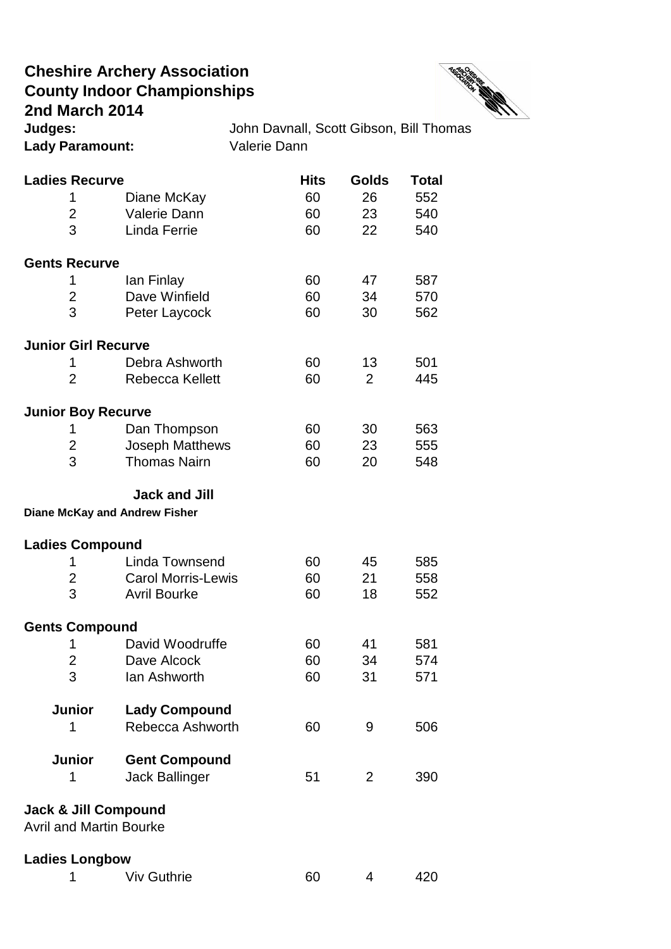## **Cheshire Archery Association County Indoor Championships** 2nd March 2014<br>Judges:



**Lady Paramount:** 

**Judges: Judges: Judges: Judges: Judges: Judges: Judges: Judges: Judges: Judges: Judges: Judges: Judges: Judges: Judges: Judges: Judges: Judges: Judges: Judges: Judges: Judges: Judges: Judges: Judges: Judges: Judges: Judge** 

| <b>Ladies Recurve</b>                |                           | <b>Hits</b> | Golds          | <b>Total</b> |
|--------------------------------------|---------------------------|-------------|----------------|--------------|
| 1                                    | Diane McKay               | 60          | 26             | 552          |
| $\overline{2}$                       | Valerie Dann              | 60          | 23             | 540          |
| 3                                    | Linda Ferrie              | 60          | 22             | 540          |
| <b>Gents Recurve</b>                 |                           |             |                |              |
| 1                                    | lan Finlay                | 60          | 47             | 587          |
| $\overline{2}$                       | Dave Winfield             | 60          | 34             | 570          |
| 3                                    | Peter Laycock             | 60          | 30             | 562          |
| <b>Junior Girl Recurve</b>           |                           |             |                |              |
| 1                                    | Debra Ashworth            | 60          | 13             | 501          |
| $\overline{2}$                       | Rebecca Kellett           | 60          | $\overline{2}$ | 445          |
| <b>Junior Boy Recurve</b>            |                           |             |                |              |
| 1                                    | Dan Thompson              | 60          | 30             | 563          |
| $\overline{2}$                       | <b>Joseph Matthews</b>    | 60          | 23             | 555          |
| 3                                    | <b>Thomas Nairn</b>       | 60          | 20             | 548          |
|                                      | <b>Jack and Jill</b>      |             |                |              |
| <b>Diane McKay and Andrew Fisher</b> |                           |             |                |              |
| <b>Ladies Compound</b>               |                           |             |                |              |
| 1                                    | <b>Linda Townsend</b>     | 60          | 45             | 585          |
| $\overline{2}$                       | <b>Carol Morris-Lewis</b> | 60          | 21             | 558          |
| 3                                    | <b>Avril Bourke</b>       | 60          | 18             | 552          |
| <b>Gents Compound</b>                |                           |             |                |              |
| 1                                    | David Woodruffe           | 60          | 41             | 581          |
| 2                                    | Dave Alcock               | 60          | 34             | 574          |
| 3                                    | lan Ashworth              | 60          | 31             | 571          |
| <b>Junior</b>                        | <b>Lady Compound</b>      |             |                |              |
| 1                                    | Rebecca Ashworth          | 60          | 9              | 506          |
| <b>Junior</b>                        | <b>Gent Compound</b>      |             |                |              |
| 1                                    | Jack Ballinger            | 51          | $\overline{2}$ | 390          |
| <b>Jack &amp; Jill Compound</b>      |                           |             |                |              |
| <b>Avril and Martin Bourke</b>       |                           |             |                |              |
| <b>Ladies Longbow</b>                |                           |             |                |              |
| 1                                    | <b>Viv Guthrie</b>        | 60          | 4              | 420          |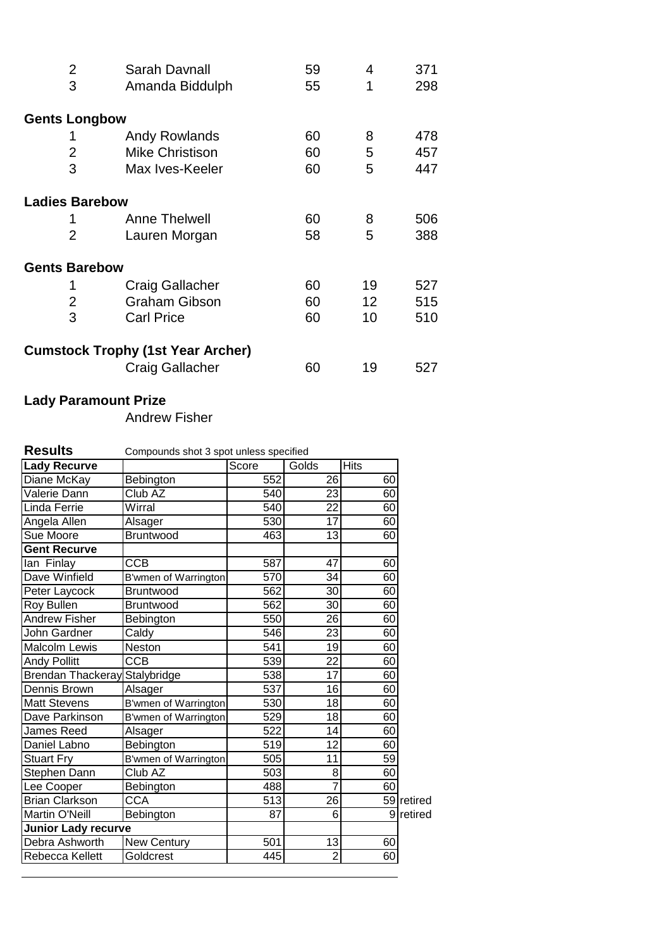| 2                     | Sarah Davnall                            | 59 | 4               | 371 |
|-----------------------|------------------------------------------|----|-----------------|-----|
| 3                     | Amanda Biddulph                          | 55 | 1               | 298 |
| <b>Gents Longbow</b>  |                                          |    |                 |     |
| 1                     | Andy Rowlands                            | 60 | 8               | 478 |
| 2                     | <b>Mike Christison</b>                   | 60 | 5               | 457 |
| 3                     | Max Ives-Keeler                          | 60 | 5               | 447 |
| <b>Ladies Barebow</b> |                                          |    |                 |     |
| 1                     | <b>Anne Thelwell</b>                     | 60 | 8               | 506 |
| $\overline{2}$        | Lauren Morgan                            | 58 | 5               | 388 |
| <b>Gents Barebow</b>  |                                          |    |                 |     |
| 1                     | <b>Craig Gallacher</b>                   | 60 | 19              | 527 |
| 2                     | <b>Graham Gibson</b>                     | 60 | 12 <sup>2</sup> | 515 |
| 3                     | <b>Carl Price</b>                        | 60 | 10              | 510 |
|                       | <b>Cumstock Trophy (1st Year Archer)</b> |    |                 |     |
|                       | <b>Craig Gallacher</b>                   | 60 | 19              | 527 |

## **Lady Paramount Prize**

Andrew Fisher

| <b>Results</b><br>Compounds shot 3 spot unless specified |                      |                  |                 |                 |            |
|----------------------------------------------------------|----------------------|------------------|-----------------|-----------------|------------|
| <b>Lady Recurve</b>                                      |                      | Score            | Golds           | <b>Hits</b>     |            |
| Diane McKay                                              | Bebington            | 552              | 26              | 60              |            |
| Valerie Dann                                             | Club AZ              | 540              | 23              | 60              |            |
| Linda Ferrie                                             | Wirral               | 540              | 22              | 60              |            |
| Angela Allen                                             | Alsager              | 530              | $\overline{17}$ | 60              |            |
| Sue Moore                                                | Bruntwood            | 463              | 13              | 60              |            |
| <b>Gent Recurve</b>                                      |                      |                  |                 |                 |            |
| lan Finlay                                               | <b>CCB</b>           | 587              | 47              | 60              |            |
| Dave Winfield                                            | B'wmen of Warrington | 570              | 34              | 60              |            |
| Peter Laycock                                            | <b>Bruntwood</b>     | 562              | 30              | 60              |            |
| Roy Bullen                                               | Bruntwood            | 562              | 30              | 60              |            |
| <b>Andrew Fisher</b>                                     | Bebington            | 550              | 26              | 60              |            |
| John Gardner                                             | Caldy                | 546              | 23              | 60              |            |
| <b>Malcolm Lewis</b>                                     | Neston               | 541              | 19              | 60              |            |
| <b>Andy Pollitt</b>                                      | <b>CCB</b>           | 539              | 22              | 60              |            |
| <b>Brendan Thackeray</b>                                 | Stalybridge          | 538              | 17              | 60              |            |
| Dennis Brown                                             | Alsager              | 537              | 16              | 60              |            |
| <b>Matt Stevens</b>                                      | B'wmen of Warrington | 530              | 18              | 60              |            |
| Dave Parkinson                                           | B'wmen of Warrington | 529              | $\overline{18}$ | 60              |            |
| <b>James Reed</b>                                        | Alsager              | $\overline{522}$ | 14              | 60              |            |
| Daniel Labno                                             | Bebington            | 519              | 12              | 60              |            |
| <b>Stuart Fry</b>                                        | B'wmen of Warrington | 505              | 11              | 59              |            |
| Stephen Dann                                             | Club AZ              | 503              | 8               | 60              |            |
| Lee Cooper                                               | Bebington            | 488              | 7               | 60              |            |
| <b>Brian Clarkson</b>                                    | <b>CCA</b>           | $\overline{513}$ | $\overline{26}$ |                 | 59 retired |
| <b>Martin O'Neill</b>                                    | Bebington            | $\overline{87}$  | $\overline{6}$  | 9               | retired    |
| Junior Lady recurve                                      |                      |                  |                 |                 |            |
| Debra Ashworth                                           | New Century          | 501              | 13              | 60              |            |
| Rebecca Kellett                                          | Goldcrest            | 445              | $\overline{2}$  | $\overline{60}$ |            |